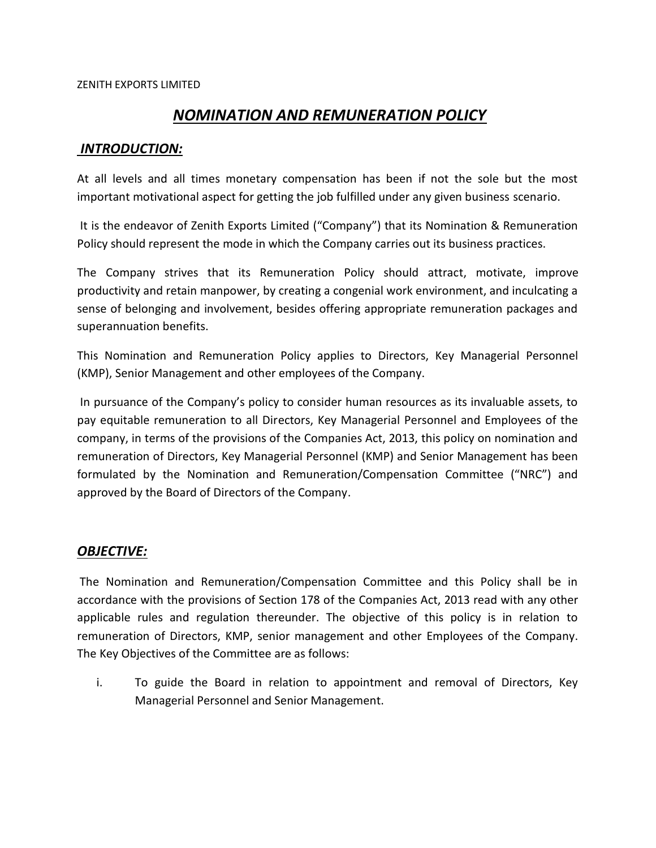# *NOMINATION AND REMUNERATION POLICY*

## *INTRODUCTION:*

At all levels and all times monetary compensation has been if not the sole but the most important motivational aspect for getting the job fulfilled under any given business scenario.

It is the endeavor of Zenith Exports Limited ("Company") that its Nomination & Remuneration Policy should represent the mode in which the Company carries out its business practices.

The Company strives that its Remuneration Policy should attract, motivate, improve productivity and retain manpower, by creating a congenial work environment, and inculcating a sense of belonging and involvement, besides offering appropriate remuneration packages and superannuation benefits.

This Nomination and Remuneration Policy applies to Directors, Key Managerial Personnel (KMP), Senior Management and other employees of the Company.

In pursuance of the Company's policy to consider human resources as its invaluable assets, to pay equitable remuneration to all Directors, Key Managerial Personnel and Employees of the company, in terms of the provisions of the Companies Act, 2013, this policy on nomination and remuneration of Directors, Key Managerial Personnel (KMP) and Senior Management has been formulated by the Nomination and Remuneration/Compensation Committee ("NRC") and approved by the Board of Directors of the Company.

## *OBJECTIVE:*

The Nomination and Remuneration/Compensation Committee and this Policy shall be in accordance with the provisions of Section 178 of the Companies Act, 2013 read with any other applicable rules and regulation thereunder. The objective of this policy is in relation to remuneration of Directors, KMP, senior management and other Employees of the Company. The Key Objectives of the Committee are as follows:

i. To guide the Board in relation to appointment and removal of Directors, Key Managerial Personnel and Senior Management.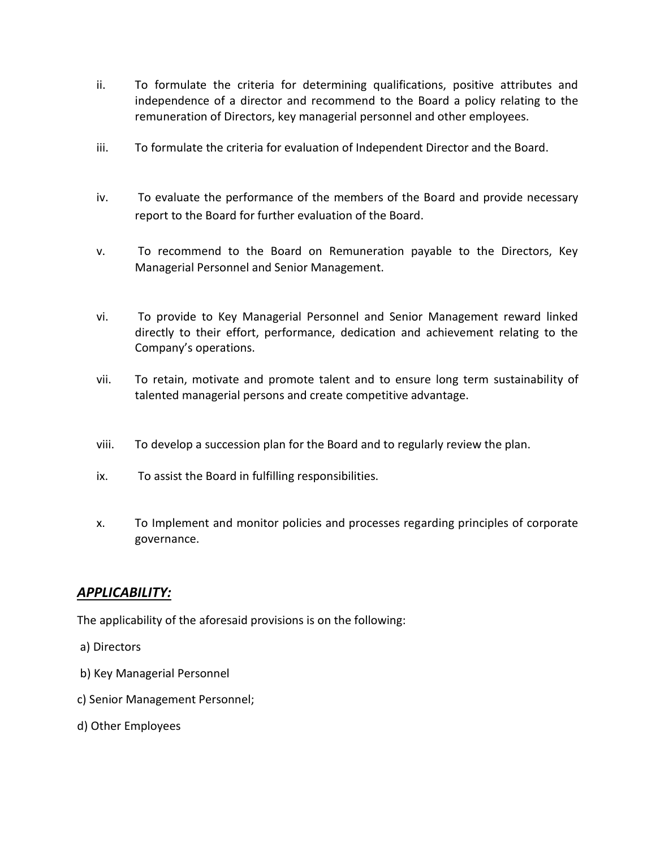- ii. To formulate the criteria for determining qualifications, positive attributes and independence of a director and recommend to the Board a policy relating to the remuneration of Directors, key managerial personnel and other employees.
- iii. To formulate the criteria for evaluation of Independent Director and the Board.
- iv. To evaluate the performance of the members of the Board and provide necessary report to the Board for further evaluation of the Board.
- v. To recommend to the Board on Remuneration payable to the Directors, Key Managerial Personnel and Senior Management.
- vi. To provide to Key Managerial Personnel and Senior Management reward linked directly to their effort, performance, dedication and achievement relating to the Company's operations.
- vii. To retain, motivate and promote talent and to ensure long term sustainability of talented managerial persons and create competitive advantage.
- viii. To develop a succession plan for the Board and to regularly review the plan.
- ix. To assist the Board in fulfilling responsibilities.
- x. To Implement and monitor policies and processes regarding principles of corporate governance.

### *APPLICABILITY:*

The applicability of the aforesaid provisions is on the following:

- a) Directors
- b) Key Managerial Personnel
- c) Senior Management Personnel;
- d) Other Employees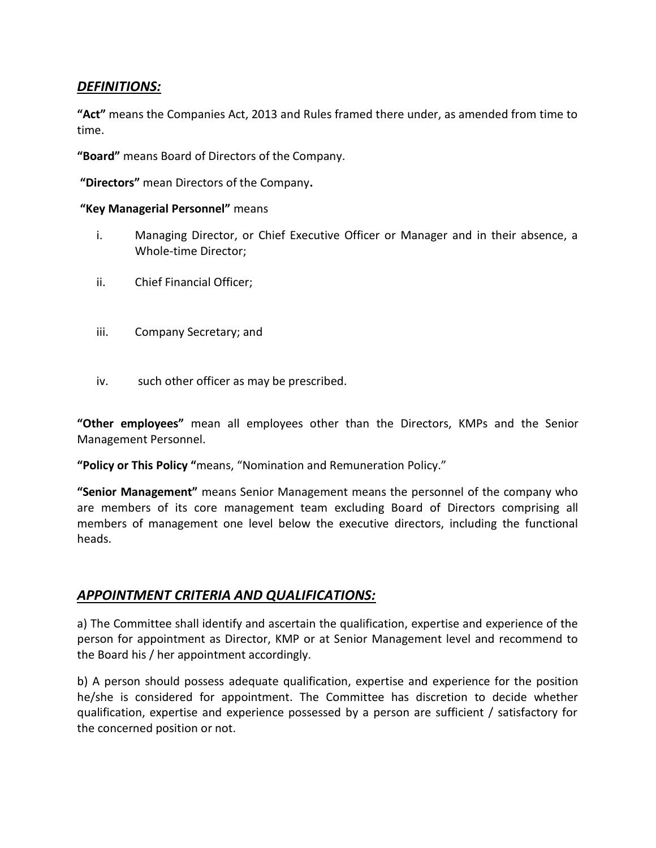## *DEFINITIONS:*

**"Act"** means the Companies Act, 2013 and Rules framed there under, as amended from time to time.

**"Board"** means Board of Directors of the Company.

**"Directors"** mean Directors of the Company**.**

#### **"Key Managerial Personnel"** means

- i. Managing Director, or Chief Executive Officer or Manager and in their absence, a Whole-time Director;
- ii. Chief Financial Officer;
- iii. Company Secretary; and
- iv. such other officer as may be prescribed.

**"Other employees"** mean all employees other than the Directors, KMPs and the Senior Management Personnel.

**"Policy or This Policy "**means, "Nomination and Remuneration Policy."

**"Senior Management"** means Senior Management means the personnel of the company who are members of its core management team excluding Board of Directors comprising all members of management one level below the executive directors, including the functional heads.

## *APPOINTMENT CRITERIA AND QUALIFICATIONS:*

a) The Committee shall identify and ascertain the qualification, expertise and experience of the person for appointment as Director, KMP or at Senior Management level and recommend to the Board his / her appointment accordingly.

b) A person should possess adequate qualification, expertise and experience for the position he/she is considered for appointment. The Committee has discretion to decide whether qualification, expertise and experience possessed by a person are sufficient / satisfactory for the concerned position or not.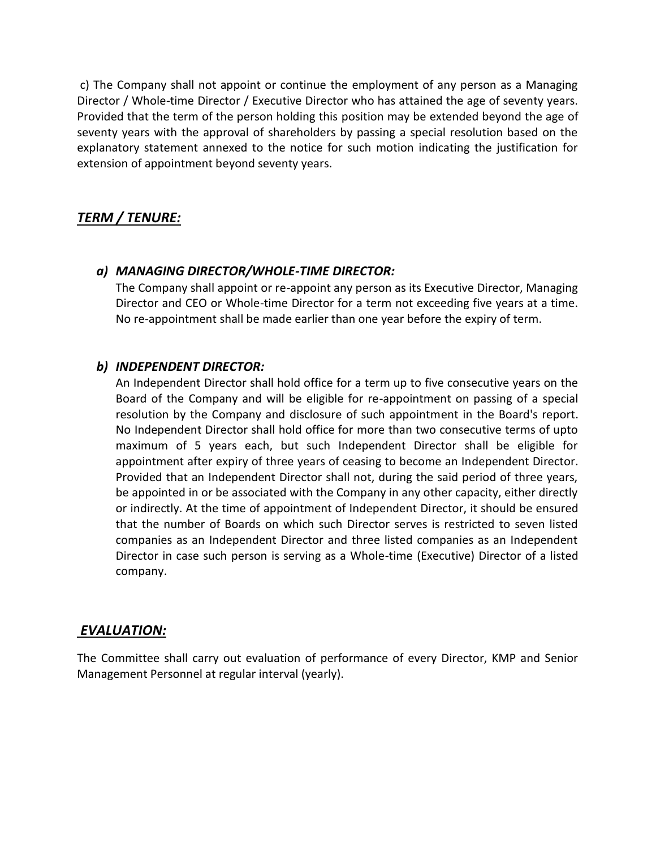c) The Company shall not appoint or continue the employment of any person as a Managing Director / Whole-time Director / Executive Director who has attained the age of seventy years. Provided that the term of the person holding this position may be extended beyond the age of seventy years with the approval of shareholders by passing a special resolution based on the explanatory statement annexed to the notice for such motion indicating the justification for extension of appointment beyond seventy years.

# *TERM / TENURE:*

## *a) MANAGING DIRECTOR/WHOLE-TIME DIRECTOR:*

The Company shall appoint or re-appoint any person as its Executive Director, Managing Director and CEO or Whole-time Director for a term not exceeding five years at a time. No re-appointment shall be made earlier than one year before the expiry of term.

## *b) INDEPENDENT DIRECTOR:*

An Independent Director shall hold office for a term up to five consecutive years on the Board of the Company and will be eligible for re-appointment on passing of a special resolution by the Company and disclosure of such appointment in the Board's report. No Independent Director shall hold office for more than two consecutive terms of upto maximum of 5 years each, but such Independent Director shall be eligible for appointment after expiry of three years of ceasing to become an Independent Director. Provided that an Independent Director shall not, during the said period of three years, be appointed in or be associated with the Company in any other capacity, either directly or indirectly. At the time of appointment of Independent Director, it should be ensured that the number of Boards on which such Director serves is restricted to seven listed companies as an Independent Director and three listed companies as an Independent Director in case such person is serving as a Whole-time (Executive) Director of a listed company.

### *EVALUATION:*

The Committee shall carry out evaluation of performance of every Director, KMP and Senior Management Personnel at regular interval (yearly).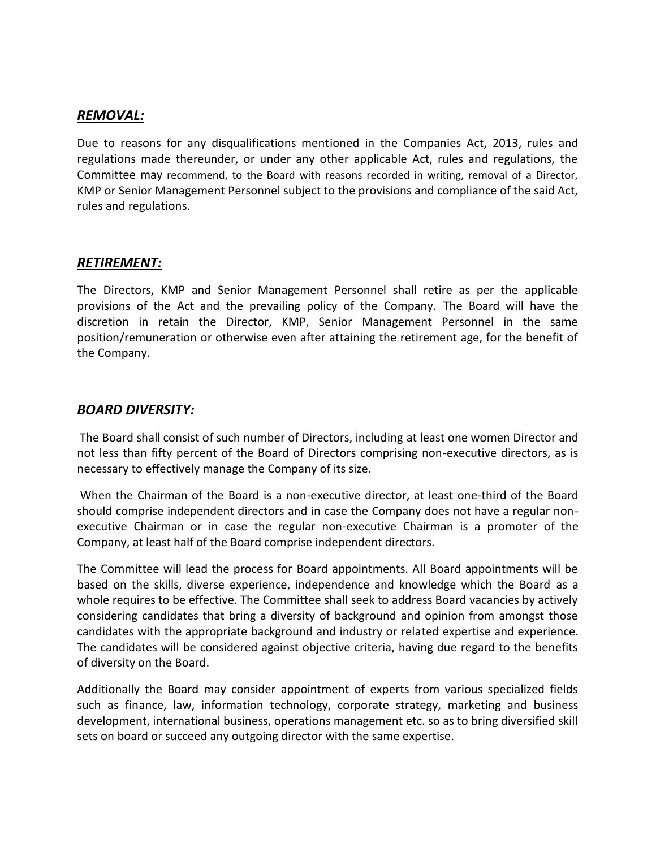### *REMOVAL:*

Due to reasons for any disqualifications mentioned in the Companies Act, 2013, rules and regulations made thereunder, or under any other applicable Act, rules and regulations, the Committee may recommend, to the Board with reasons recorded in writing, removal of a Director, KMP or Senior Management Personnel subject to the provisions and compliance of the said Act, rules and regulations.

## *RETIREMENT:*

The Directors, KMP and Senior Management Personnel shall retire as per the applicable provisions of the Act and the prevailing policy of the Company. The Board will have the discretion in retain the Director, KMP, Senior Management Personnel in the same position/remuneration or otherwise even after attaining the retirement age, for the benefit of the Company.

## *BOARD DIVERSITY:*

The Board shall consist of such number of Directors, including at least one women Director and not less than fifty percent of the Board of Directors comprising non-executive directors, as is necessary to effectively manage the Company of its size.

When the Chairman of the Board is a non-executive director, at least one-third of the Board should comprise independent directors and in case the Company does not have a regular nonexecutive Chairman or in case the regular non-executive Chairman is a promoter of the Company, at least half of the Board comprise independent directors.

The Committee will lead the process for Board appointments. All Board appointments will be based on the skills, diverse experience, independence and knowledge which the Board as a whole requires to be effective. The Committee shall seek to address Board vacancies by actively considering candidates that bring a diversity of background and opinion from amongst those candidates with the appropriate background and industry or related expertise and experience. The candidates will be considered against objective criteria, having due regard to the benefits of diversity on the Board.

Additionally the Board may consider appointment of experts from various specialized fields such as finance, law, information technology, corporate strategy, marketing and business development, international business, operations management etc. so as to bring diversified skill sets on board or succeed any outgoing director with the same expertise.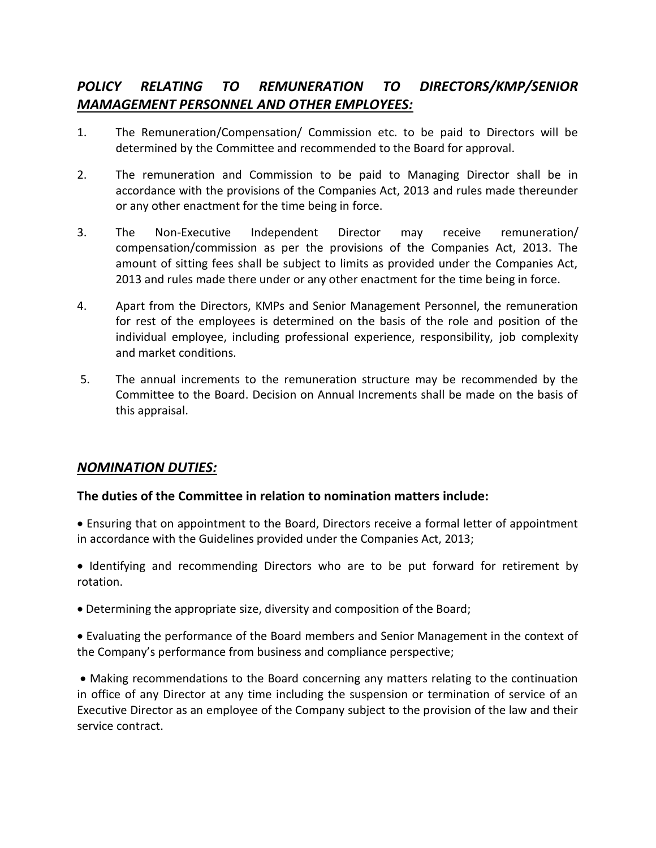# *POLICY RELATING TO REMUNERATION TO DIRECTORS/KMP/SENIOR MAMAGEMENT PERSONNEL AND OTHER EMPLOYEES:*

- 1. The Remuneration/Compensation/ Commission etc. to be paid to Directors will be determined by the Committee and recommended to the Board for approval.
- 2. The remuneration and Commission to be paid to Managing Director shall be in accordance with the provisions of the Companies Act, 2013 and rules made thereunder or any other enactment for the time being in force.
- 3. The Non-Executive Independent Director may receive remuneration/ compensation/commission as per the provisions of the Companies Act, 2013. The amount of sitting fees shall be subject to limits as provided under the Companies Act, 2013 and rules made there under or any other enactment for the time being in force.
- 4. Apart from the Directors, KMPs and Senior Management Personnel, the remuneration for rest of the employees is determined on the basis of the role and position of the individual employee, including professional experience, responsibility, job complexity and market conditions.
- 5. The annual increments to the remuneration structure may be recommended by the Committee to the Board. Decision on Annual Increments shall be made on the basis of this appraisal.

## *NOMINATION DUTIES:*

### **The duties of the Committee in relation to nomination matters include:**

 Ensuring that on appointment to the Board, Directors receive a formal letter of appointment in accordance with the Guidelines provided under the Companies Act, 2013;

 Identifying and recommending Directors who are to be put forward for retirement by rotation.

Determining the appropriate size, diversity and composition of the Board;

 Evaluating the performance of the Board members and Senior Management in the context of the Company's performance from business and compliance perspective;

 Making recommendations to the Board concerning any matters relating to the continuation in office of any Director at any time including the suspension or termination of service of an Executive Director as an employee of the Company subject to the provision of the law and their service contract.